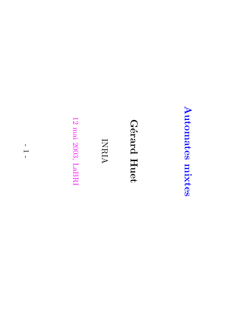# Automates Automates mixtes

#### $\boldsymbol{\Omega}$ ´erard Huet

### INRIA

 $\vec{c}$ mai 2003, LaBRI

-  $\overline{\phantom{0}}$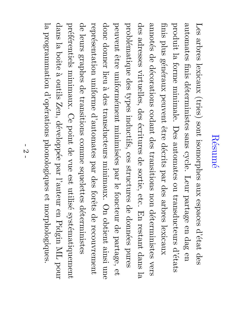## R´esum´e

Les arbres lexicaux (tries) sont isomorphes aux<br>X espaces d'´etat des automates finis d´eterministes sans cycle. Leur partage en dag en produit  $\Xi$ forme minimale. Des automates ou transducteurs d'´etats finis plus g´en´eraux peuvent ˆetre d´ecrits par des arbres lexicaux annot´es a<br>P d´ecorations codant des transitions non d´eterministes vers des adresses virtuelles, des ´ecritures a<br>P sortie, etc. En restant dans  $\Xi$ probl´ematique des types inductifs, ces structures a<br>P donn´ees pures peuvent ˆetre uniform´ement minimis´ees par  $\overline{\sigma}$ foncteur a<br>P partage,  $\frac{\Theta}{\Theta}$ donc donner lieu ల~ des<br>S transducteurs minimaux.  $\rm{O}$ obtient ainsi une repr ∩` esentation uniforme d'automates par des forˆets a<br>P recouvrement a<br>P leurs graphes a<br>P transitions comme squelettes d´eterministes  $\rm H$ ´ef´erentiels minimaux.  $\mathcal{C}$ point a<br>P vue est<br>u utilis´e syst´ematiquement dans  $\Xi$ boîte ల~ outils Zen, d´evelopp´ee par l'auteur en Pidgin  $\rm \Sigma$ pour  $\Xi$ programmation d'op´erations phonologiques  $\mathsf{P}_\mathsf{C}$ morphologiques.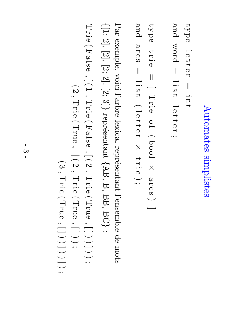# Automates Automates simplistes

type  $\overline{\phantom{0}}$  $\mathbb O$  $\begin{matrix} 1 \ 1 \end{matrix}$  $\mathbb O$  $\mathbf \Xi$  $\overline{\phantom{a}}$ i  $\rm \Xi$  $\rightarrow$ and word  $\overline{\phantom{a}}$  $\overline{\phantom{0}}$  $\overline{\phantom{a}}$  .  $\omega$  $\rightarrow$  $\overline{\phantom{0}}$  $\mathbb O$  $\begin{matrix} 1 \ 1 \end{matrix}$  $\mathbb O$  $\mathbf \Xi$  $\ddotsc$ 

type tri  $\mathbb O$  $\overline{\phantom{a}}$  $\overline{\phantom{0}}$ Trie o  $\mapsto$  $\overbrace{\phantom{1}}$ bool  $\times$  $\mathbf \varphi$  $\mathbf \Xi$ c  $\omega$  $\smile$ ] and  $\mathbf \varphi$  $\mathbf \Xi$  $\mathbf \Omega$  $\omega$  $\overline{\phantom{a}}$  $\overline{\phantom{0}}$  $\overline{\phantom{a}}$  .  $\omega$  $\rightarrow$  $\overbrace{\phantom{1}}$ l  $\mathbb O$  $\begin{matrix} 1 \ 1 \end{matrix}$  $\mathbb O$  $\mathord{\text{I}}$  $\times$ tri  $\mathbb O$  $\smash{\smash{\bigcup}}$ 

Par exemple, voici l'arbre lexical repr´esentant l'ensemble a<br>P mots  $\overline{\phantom{a}}$ [1;  $\frac{2}{\cdot}$  $[2]$  $\widetilde{\mathcal{L}}$  $\frac{2}{3}$  $\widetilde{\mathcal{L}}$  $\Xi$  $\leftharpoondown$ repr´esentant  $\overline{\phantom{a}}$ AB,  $\Xi$ BB, **RC**  $\leftharpoondown$ : Trie  $\overbrace{\phantom{aaaaa}}$ False  $\overline{\phantom{a}}$  $\sum$  $\overline{\phantom{0}}$  $\overline{\phantom{a}}$ Trie  $\overbrace{\phantom{aaaaa}}$ False  $\ddot{\phantom{0}}$  $\bigcap$  $\mathcal{C}$  $\ddot{\phantom{0}}$ Trie  $\overbrace{\phantom{1}}$ True  $\ddot{\phantom{0}}$  $\overline{\phantom{0}}$ **\_\_\_\_**  $\smile$  $\smile$ ]  $\smile$  $\smile$  $\ddotsc$  $\overbrace{\phantom{1}}$  $\mathcal{C}$ Trie

 $\overbrace{\phantom{aaaaa}}$ True  $\ddot{\phantom{0}}$  $\sum$  $\mathcal{C}$  $\ddot{\phantom{0}}$ Trie  $\overbrace{\phantom{1}}$ True  $\ddot{\phantom{0}}$  $\overline{\phantom{0}}$ ]  $\smile$  $\smile$ ;  $\overbrace{\phantom{aaaaa}}$ ಲು  $\ddot{\phantom{0}}$ Trie  $\overbrace{\phantom{aaaaa}}$ True  $\ddot{\phantom{0}}$  $\overline{\phantom{0}}$ ]  $\smile$  $\smile$ ]  $\smile$  $\smile$ ]  $\smile$  $\ddotsc$ 

 $\ddot{\phantom{0}}$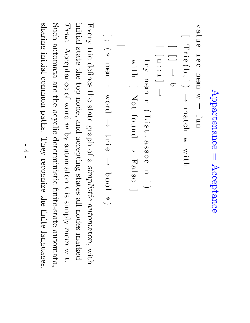```
Appartenance Appartenance = Acceptance
Acceptance
```
value  $\mathbf \Xi$  $\mathcal{O}$ c mem m  $\prod$ fun

Let the limit 
$$
w = \text{tul}
$$

\n
$$
\begin{bmatrix}\n\text{Trie}(b, 1) & \rightarrow \text{match } w \text{ with} \\
\text{int} & \text{int} & \rightarrow \text{b} \\
\text{try} & \text{mem r} \quad (\text{List. assoc n 1}) \\
\text{with} & \text{Not-found} \rightarrow \text{False 1} \\
\text{if } \ast \text{ mem} \quad \text{word} \rightarrow \text{trie} \rightarrow \text{boolean} \quad \text{for } \text{loop} \quad \ast)
$$

Every trie defines the state  ${\rm diag}$ of  $\omega$ simplistic automaton $\ddot{\phantom{0}}$ with initial state the  $\mathrm{d}\mathrm{o}\mathrm{p}$ node, and accepting states  $\mathbb{E}$ nodes marked  $True.$ Acceptance of word  $\mathcal{C}% _{M_{1},M_{2}}^{\alpha,\beta}$  $\mathrm{sq}$ automaton  $\rightarrow$  $\Xi.$  $\mathrm{N}$ ly mem  $\mathcal{A}$  $\boldsymbol{\tau}$ Such automata are the acyclic deterministic finite-state automata, sharing initial common paths.  $\rm{The}$ recognize the<br>P finite languages.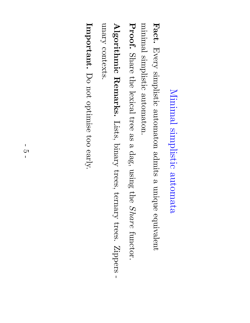## Minimal simplistic automata

Fact. Every simplistic automaton admits  $\omega$ unique equivalent minimal simplistic automaton.

Proof. Share the lexical tree e<br>S  $\mathbf \varphi$ dag, using the<br>P Share functor.

Algorithmic Remarks. Lists, binary trees, ternary trees. Zippers unary contexts. contexts.

Important. Do not optimise too  $\operatorname{early}.$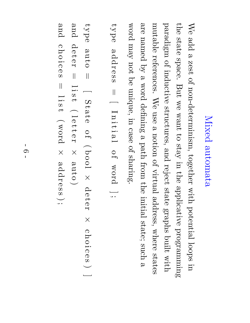## Mixed automata

We add<br>D a zest of non-determinism, together with potential loops in the state space. But  $\mathop{\otimes}\limits^{\mathop{\mathsf{CS}}\nolimits}$ want  $\mathfrak{S}$  $\Omega$ in the applicative programming  $\operatorname{angle}$ of inductive structures, and reject state graphs built with mutable references. We use  $\boldsymbol{\omega}$ notion of virtual address, where states are named  $\mathrm{sq}$ a word defining  $\boldsymbol{\omega}$ path from the<br>P initial state; such a word  $\Lambda$ e $\mathrm{U}$ not  $\operatorname*{g}\nolimits$ unique, in case of sharing.

```
type addr \mathcal{O}တ<br>တ
    \overline{\phantom{a}}\overline{\phantom{0}}\overline{\phantom{0}}\rm \Xii<br>H
   i \mathbf \varphi\overline{\phantom{0}}o \mapstoword ] \ddotsc
```
type auto  $\overline{\phantom{a}}$  $\overline{\phantom{iiiiiiiiiiiii}}$ Stat  $\mathcal{\mathcal{D}}$ o  $\mapsto$  $\overbrace{\phantom{1}}$ bool  $\times$ a<br>D  $\rightarrow$  $\mathcal D$  $\blacktriangleright$  $\times$ c  $\overline{\bm{\mathsf{L}}}$ o  $\overline{\phantom{a}}$  . c  $\mathcal{O}$  $\Omega$  $\smile$ ] and a<br>D  $\rightarrow$  $\mathbf \sigma$  $\mathord{\text{H}}$  $\overline{\phantom{a}}$  $\overline{\phantom{0}}$ i  $\omega$  $\rightarrow$  $\overbrace{\phantom{1}}$  $\overline{\phantom{0}}$  $\mathcal{\mathcal{D}}$  $\begin{matrix} 1 \ 1 \end{matrix}$  $\mathbf \sigma$  $\mathbf \Xi$  $\times$ auto  $\smile$ and  $\overline{\bm{\Gamma}}$  $\overline{\phantom{a}}$  .  $\overline{\phantom{0}}$ i  $\overbrace{\phantom{1}}$ word addr  $\smash{\smash{\bigcup}}$ 

c

o

c  $\mathcal{\mathcal{D}}$  $\omega$ 

 $\overline{\phantom{a}}$ 

مح  $\rightarrow$ 

 $\times$ 

 $\mathcal{\mathcal{D}}$ တ<br>တ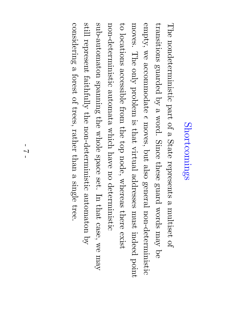### Shortcomings Shortcomings

The nondeterministic part of  $\omega$ State represents  $\omega$ multiset of transitions guarded  $\mathcal{\widetilde{Q}}$  $\omega$ word. Since these guard words  $\Lambda$ e $\rm{uu}$ a<br>O  $\operatorname{embr}_{\text{y}}$  $\mathop{\otimes}\limits^{\mathop{\mathsf{M}}\nolimits}$ accommodate ∩ moves, but also general non-deterministic moves. The only problem  $\Xi.$ that virtual addresses  $_{\rm{max}}$ indeed point  $\Xi$ locations accessible from the  $\mathrm{d}\mathrm{o}\mathrm{p}$ node, whereas there exist non-deterministic automata which have no deterministic sub-automaton  $\operatorname{supmax}$ the whole space set.  $\rm \Xi$  $\thinspace \mathrm{that}$ case,  $\mathop{\otimes}\limits^{\mathop{\mathsf{M}}\nolimits}$  $\Lambda$ e $\rm{u}$ still represent  $\operatorname{faithy}$ the non-deterministic automaton  $\mathcal{\overset{\sim}{Q}}$ considering  $\omega$ forest of trees, rather than a single tree.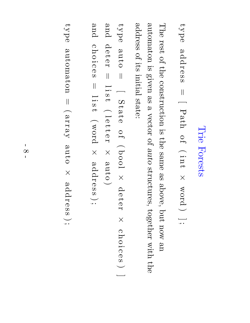### Trie Forests

type addr  $\mathbb O$ တ<br>တ  $\overline{\phantom{a}}$  $\overline{\phantom{0}}$  $\rm Pa$ o  $\mapsto$  $\overbrace{\phantom{1}}$  $\overline{\phantom{a}}$  .  $\rm \Xi$  $\rightarrow$  $\times$ word  $\smile$ ]  $\ddotsc$ 

The rest of the construction  $\Xi.$ the same e<br>So above, but  $\rm_{MOL}$ an<br>D automaton  $\Xi.$ given e<br>S  $\boldsymbol{\omega}$ vector of auto structures, together with the address of its initial state:

type auto  $\overline{\phantom{a}}$  $\overline{\phantom{0}}$ Stat  $\mathcal{\mathcal{D}}$ o  $\mapsto$  $\overbrace{\phantom{1}}$ bool  $\times$ a<br>D  $\rightarrow$  $\mathbf \sigma$  $\blacktriangleright$  $\times$ c  $\overline{\bm{\Gamma}}$ o i c  $\mathcal{\mathcal{D}}$  $\Omega$  $\smile$ ] and a<br>D  $\rightarrow$  $\mathbb O$  $\mathbf \Xi$  $\overline{\phantom{a}}$  $\overline{\phantom{0}}$  $\overline{\phantom{a}}$  .  $\omega$  $\rightarrow$  $\overbrace{\phantom{1}}$  $\overline{\phantom{0}}$  $\mathbb O$  $\begin{matrix} 1 \ 1 \end{matrix}$  $\mathbb O$  $\mathbf \Xi$  $\times$ auto  $\smile$ and  $\mathbf \Omega$  $\overline{\bm{\mathsf{L}}}$ o  $\overline{\phantom{a}}$  . c  $\mathbb O$  $\omega$  $\overline{\phantom{a}}$ l  $\overline{\phantom{a}}$  .  $\omega$  $\rightarrow$  $\overbrace{\phantom{aaaaa}}$ word  $\times$ addr  $\mathbb O$ တ<br>တ  $\smash{\smash{\bigcup}}$ 

type automaton  $\overline{\phantom{a}}$  $\overbrace{\phantom{1}}$  $\chi_{\rm RJ,IR}$ auto  $\times$ addr  $\mathbb O$ တ<br>တ  $\sum_{i=1}^n$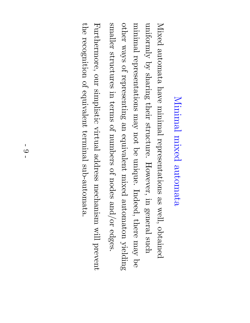## Minimal mixed automata

Mixed automata have minimal representations e<br>So well, obtained uniformly  $\mathcal{\overset{\sim}{Q}}$ sharing their structure. However, in general such minimal representations  $\Lambda$ e $\rm{u}$ not ଚ<br>ଚ unique. Indeed, there  $\Lambda$ e $\rm{u}$ ଚ<br>ଚ other ways of representing e<br>D equivalent mixed automaton yielding smaller structures in terms of numbers of nodes and/or edges. Furthermore, our simplistic virtual address mechanism will prevent the recognition of equivalent terminal sub-automata.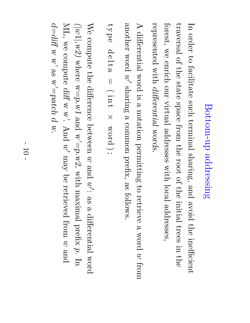# Bottom-up Bottom-up addressing

 $\rm \Xi$ order  $\Xi$ facilitate such terminal sharing, and avoid the inefficient traversal of the state space from the<br>P root of the<br>P initial trees in the forest,  $\mathop{\otimes}\limits^{\mathop{\mathsf{M}}\nolimits}$ enrich our virtual addresses with local addresses, represented with differential words.

 $\blacktriangleright$ differential word  $\Xi.$ a notation permitting  $\Xi$ retrieve  $\omega$ word  $\mathcal{C}$ from another word  $\widetilde{\varepsilon}$ sharing  $\omega$ common prefix, e<br>S follows.

type  $\mathsf{p}$  $\mathbb O$  $\frac{1}{\tau}$  $\omega$  $\prod$  $\overbrace{\phantom{1}}$ i  $\rm \Xi$  $\overline{\phantom{0}}$  $\times$ word  $\sum_{i=1}^n$ 

We compute the difference between  $\mathcal{C}$ and  $\widetilde{\omega}$ e<br>So a differential word  $\bigcirc$  $1|\, ,$ w2) where  $w{=}p.w1$ and  $\mathrm{w}^{\prime}{=}\mathrm{p}$ .w2, with maximal prefix  $\tilde{\mathcal{D}}$  $\rm \Xi$ ML,  $\mathop{\otimes}\limits^{\mathop{\mathsf{CS}}\nolimits}$ compute diff  $\mathcal{A}$ ম<br>.<br>. And  $\widetilde{\varepsilon}'$  $\Lambda$ e $\mathrm{U}$  $\operatorname*{g}\nolimits$ retrieved from  $\mathcal{C}$ and d=diff  $\overline{\mathcal{A}}$  $\breve{\mathcal{A}}$ es<br>S  $\mathrm{w}^{\prime}{=}\mathrm{patch}$  $\overline{\omega}$  $\aleph$ .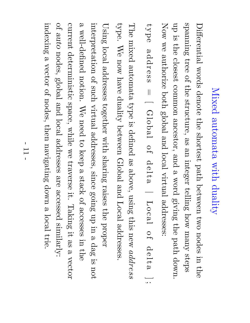## Mixed automata with duality

Differential words denote the shortest path between two nodes in the<br>P spanning tree of the structure, e<br>S an<br>D integer telling how  $\Lambda$ ure $\rm{u}$ steps up  $\Xi.$ the closest common ancestor, and a word giving the path down. Now  $\mathop{\otimes}\limits^{\mathop{\mathsf{CS}}\nolimits}$ authorize  $b$ oth global and local virtual addresses: type addr  $\mathbf \sigma$ တ<br>တ  $\overline{\phantom{a}}$  $\overline{\phantom{0}}$ Global o  $\mapsto$  $\simeq$  $\mathcal{\mathcal{D}}$  $\frac{1}{\tau}$  $\mathbf \varphi$ |  $\rm L_{0}c_{d}$ l o  $\mapsto$  $\simeq$  $\mathcal{\mathcal{D}}$  $\overline{\overline{a}}$  $\mathbf \varphi$ ] ; The mixed automata type  $\Xi.$ defined e<br>So above, using this new address type.  $\mathbb{N}_\Theta$ now have duality between Global and Local addresses.

Using local addresses together with sharing raises the proper interpretation of such virtual addresses, since going  $\dim$ in  $\boldsymbol{\omega}$ dag  $\Xi.$ not

 $\mathbf \varphi$ well-defined notion.  $\mathbb{N}_\Theta$ need  $\Xi$ keep  $\boldsymbol{\omega}$ stack of accesses in.<br>I the<br> current deterministic space, while  $\mathop{\otimes}\limits^{\mathop{\mathbb{C}}\limits_{\mathop{\mathbb{C}}\limits^{}}\limits_{}}$ traverse it. Taking it. e<br>S  $\omega$ vector of auto nodes, global and local addresses are accessed similarly: indexing  $\mathbf \varphi$ vector of nodes, then navigating down a local trie.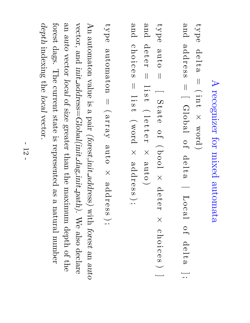### $\blacktriangleright$ recognizer for mixed automata

type  $\mathsf{p}$  $\mathbb O$  $\frac{1}{\tau}$  $\omega$  $\prod$  $\overbrace{\phantom{1}}$ i  $\rm \Xi$  $\overline{\phantom{0}}$  $\times$ word  $\smile$ 

and addr  $\mathbf \sigma$ တ<br>တ  $\overline{\phantom{a}}$  $\overline{\phantom{0}}$ Global o  $\mapsto$  $\mathsf{p}$  $\mathbf \sigma$  $\frac{1}{\tau}$  $\mathbf \varphi$ |  $\rm L_{\rm CO}$ o  $\mapsto$  $\simeq$  $\mathbb O$  $\overline{\overline{a}}$  $\boldsymbol{\omega}$ ] ;

type auto  $\mathbf{||}$  $\overline{\phantom{0}}$ Stat  $\mathbb O$ o  $\mapsto$  $\overbrace{\phantom{aaaaa}}$ bool  $\times$ a<br>D  $\rightarrow$  $\mathbf \sigma$  $\mathbf \Xi$  $\times$ c  $\overline{\bm{\mathsf{L}}}$ o  $\overline{\phantom{a}}$  . c  $\mathcal{O}$  $\sigma$  $\smile$ **1999** and a<br>D  $\rightarrow$  $\mathbb O$  $\mathbf{\mathsf{H}}$  $\overline{\phantom{a}}$  $\overline{\phantom{0}}$  $\overline{\phantom{a}}$  .  $\omega$  $\rightarrow$  $\overbrace{\phantom{aaaaa}}$  $\overline{\phantom{0}}$  $\mathbb O$  $\begin{matrix} 1 \ 1 \end{matrix}$  $\mathbb O$  $\mathbf{\mathbf{I}}$  $\times$ auto  $\smile$ and  $\mathbf \Omega$  $\overline{\bm{\mathsf{L}}}$ o i c  $\mathbb O$  $\omega$  $\overline{\phantom{a}}$ l i  $\omega$  $\rightarrow$  $\overbrace{\phantom{1}}$ word  $\times$ addr  $\mathbb O$ တ<br>တ  $\smash{\smash{\bigcup}}$ 

type automaton  $\overline{\phantom{a}}$  $\overbrace{\phantom{1}}$  $\chi_{\rm RJ,IR}$ auto  $\times$ addr  $\mathbb O$ တ<br>တ  $\sum_{\bullet\bullet}$ 

An automaton value  $\Xi.$  $\boldsymbol{\omega}$ pair (forest,init address) with forest an<br>R auto vector, and init address=Global(init dag,init path).  $\mathbb{N}_\Theta$ also declare an<br>D auto vector local of size greater  ${\rm thal}$ the maximum depth of the forest dags. The current state  $\Xi.$ represented e<br>S  $\omega$ natural number depth indexing the local vector.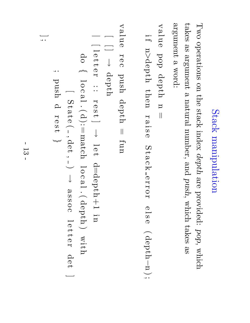## Stack manipulation manipulation

 $\Gamma_{\rm WO}$ operations on the stack index depth are<br>P provided: pop, which takes e<br>So argument  $\boldsymbol{\omega}$ natural number, and  $p$ ush, which takes e<br>So argument  $\mathbf \varphi$ word:

value pop depth  $\rm \Xi$  $\overline{\phantom{a}}$ 

i  $\mapsto$  $\rm \Xi$  $\vee$ depth  $t\mathrm{head}$ r a is.<br>R  $\mathbb O$  $\mathcal{D}$  $\overline{\phantom{0}}$ a c  $\overline{\bm{\lambda}}$  $\mathbb O$  $\Gamma$ o  $\mathbf \Xi$  $\mathbb O$  $\Xi$  $\mathbb O$  $\overbrace{\phantom{aaaaa}}$ depth $\rm \Xi$  $\smash{\smash{\bigcup}}\limits_{\smile\!\smile\!\smile\!\smile}$ 

value  $\blacktriangleright$  $\mathcal{\mathcal{D}}$ c  $_{\rm{p}$ ush depth  $\overline{\phantom{a}}$ fun  $\overline{\phantom{0}}$ [ ]  $\downarrow$ depth |  $\overline{\phantom{iiiiiiiiiiiii}}$  $\overline{\phantom{0}}$  $\mathcal D$  $\begin{matrix} 1 \ 1 \end{matrix}$  $\mathcal D$  $\blacktriangleright$ : :  $\blacktriangleright$  $\mathcal{D}% _{T}=\mathcal{D}_{T}\!\left( a,b\right) ,\ \mathcal{D}_{T}=\mathcal{D}_{T}\!\left( a,b\right) ,$  $\frac{1}{\omega}$ ]  $\downarrow$ l  $\mathcal D$  $\rightarrow$  $\rm d$ =depth $+1$ i<br>D p<br>O  $\overline{\phantom{a}}$  $\overline{\phantom{0}}$ o  $\mathbf \Omega$ a  $\overline{\phantom{0}}$  $\dot{\frown}$ d):=  ${\rm and}$  $\overline{\phantom{0}}$ o c  $\mathbf \varphi$  $\overline{\phantom{0}}$  $\frac{1}{\sqrt{2}}$ depth  $\smile$ with  $\overline{\phantom{0}}$ Stat  $\mathbf \sigma$  $\overbrace{\phantom{1}}$  $\overline{\phantom{a}}$ det<br>U  $\overline{\phantom{a}}$  $\smile$  $\downarrow$  $\boldsymbol{\omega}$ တ<br>တ o c  $\overline{\phantom{0}}$  $\mathbf \sigma$  $\begin{matrix} 1 \ 1 \end{matrix}$  $\mathbf \sigma$  $\mathord{\text{I}}$ a<br>a ] ;  $_{\rm{pugp}}$  $\simeq$  $\mathbf \Xi$  $\mathcal D$  $\frac{1}{\omega}$  $\leftharpoondown$  $\sim$   $\sim$   $\sim$ ;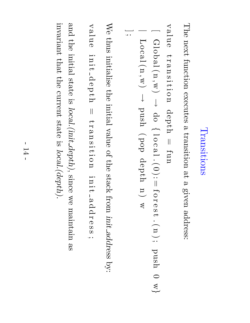### Transitions Transitions

The next function executes  $\boldsymbol{\omega}$ transition ည $\frac{\mathbf{p}}{2}$  $\boldsymbol{\omega}$ given address:

value  $\vec{r}$ a  $\rm \Xi$ e<br>11.<br>1 o  $\rm \Xi$ depth  $\overline{\phantom{a}}$ fun

[Global(n,w) 
$$
\rightarrow
$$
 do { $log1(0):=forest.(n)); push 0 w}$ }  
| Local(n,w)  $\rightarrow$  push (pop depth n) w

We thus initialise the initial value of the stack from init address  $\widetilde{\mathcal{S}}$ 

value i  $\rm \Xi$ n.<br>H  $\square$  $\mathcal{\mathcal{D}}$  $\bf \rm d$  $\rightarrow$  $\overline{\bm{\Gamma}}$  $\overline{\phantom{a}}$  $\mathfrak{t}$  $\mathbf \varphi$  $\rm \Xi$ siti o  $\rm \Xi$ i  $\rm \Xi$ .<br>a  $\boldsymbol{\omega}$  $\Delta$  $\simeq$  $\blacktriangleright$  $\mathbf \sigma$ တ<br>တ ;

and the initial state  $\Xi.$ local.(init  $depth),$ since  $\mathop{\%}\nolimits$ maintain e<br>S invariant  $\thinspace \mathrm{that}$ the current state  $\Xi.$ local.(depth).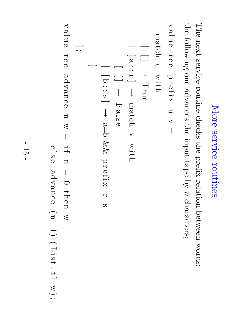## More service routines

The next service routine checks the prefix relation between words; the following one advances the input tape  $\mathcal{\overset{\sim}{Q}}$  $\mathcal{S}% _{M_{1},M_{2}}^{\alpha,\beta}(-\varepsilon)=\mathcal{S}_{M_{1},M_{2}}^{\alpha,\beta}(-\varepsilon)$ characters;

```
value \mathbf \Xi\mathbb Oc \Delta\mathbf \Xi\mathcal Df i \bm{\times}\mathbf \Xi\prec\overline{\phantom{a}}_{\rm{hod}}\bf \Xi_{\rm wint}
```

$$
\begin{bmatrix}\n\vdots & \cdots & \cdots \\
\vdots & \vdots & \cdots \\
\vdots & \vdots & \vdots \\
\vdots & \vdots & \vdots \\
\vdots & \vdots & \vdots \\
\vdots & \vdots & \vdots \\
\vdots & \vdots & \vdots \\
\vdots & \vdots & \vdots \\
\vdots & \vdots & \vdots \\
\vdots & \vdots & \vdots \\
\vdots & \vdots & \vdots \\
\vdots & \vdots & \vdots \\
\vdots & \vdots & \vdots \\
\vdots & \vdots & \vdots \\
\vdots & \vdots & \vdots \\
\vdots & \vdots & \vdots \\
\vdots & \vdots & \vdots \\
\vdots & \vdots & \vdots \\
\vdots & \vdots & \vdots \\
\vdots & \vdots & \vdots \\
\vdots & \vdots & \vdots \\
\vdots & \vdots & \vdots \\
\vdots & \vdots & \vdots \\
\vdots & \vdots & \vdots \\
\vdots & \vdots & \vdots \\
\vdots & \vdots & \vdots \\
\vdots & \vdots & \vdots \\
\vdots & \vdots & \vdots \\
\vdots & \vdots & \vdots \\
\vdots & \vdots & \vdots \\
\vdots & \vdots & \vdots \\
\vdots & \vdots & \vdots \\
\vdots & \vdots & \vdots \\
\vdots & \vdots & \vdots \\
\vdots & \vdots & \vdots \\
\vdots & \vdots & \vdots \\
\vdots & \vdots & \vdots \\
\vdots & \vdots & \vdots \\
\vdots & \vdots & \vdots \\
\vdots & \vdots & \vdots \\
\vdots & \vdots & \vdots \\
\vdots & \vdots & \vdots \\
\vdots & \vdots & \vdots \\
\vdots & \vdots & \vdots \\
\vdots & \vdots & \vdots \\
\vdots & \vdots & \vdots \\
\vdots & \vdots & \vdots \\
\vdots & \vdots & \vdots \\
\vdots & \vdots & \vdots \\
\vdots & \vdots & \vdots \\
\vdots & \vdots & \vdots \\
\vdots & \vdots & \vdots \\
\vdots & \vdots & \vdots \\
\vdots & \vdots & \vdots \\
\vdots & \vdots & \vdots \\
\vdots & \vdots & \vdots \\
\vdots & \vdots & \vdots \\
\vdots & \vdots & \vdots \\
\vdots & \vdots & \vdots \\
\vdots & \vdots & \vdots \\
\vdots & \vdots & \vdots \\
\vdots & \vdots & \vdots \\
\vdots & \vdots & \
$$

value  $\mathbf \Xi$  $\mathcal{O}$ c advance  $\rm \Xi$  $\lesssim$  $\prod$ i  $\mapsto$  $\rm \Xi$  $\mathbf{||}$  $\bigcirc$  $t \ln \mathrm{e}\,\mathrm{n}$  $\mathbb{A}$ 

 $\mathbb O$  $\Xi$  $\mathcal{\mathcal{D}}$ 

advance

 $\overbrace{\phantom{1}}$  $\rm \Xi$ −

 $\overline{\phantom{0}}$ 

 $\overbrace{\phantom{1}}$ 

List

.

 $\overline{\phantom{0}}$ 

w);

;

- سا<br>70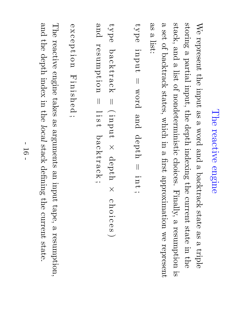### The reactive engine

We represent the input e<br>So a word and a backtrack state e<br>So a triple storing a partial input, the depth indexing the current state in the  $\operatorname{stack},$ and  $\boldsymbol{\omega}$ list of nondeterministic choices. Finally,  $\boldsymbol{\omega}$ resumption  $\Xi.$  $\boldsymbol{\mathsf{\Omega}}$ set<br>9 of backtrack states, which in  $\boldsymbol{\mathsf{\Omega}}$ first approximation  $\mathop{\otimes}\limits^{\mathop{\mathbb{C}}\limits_{\mathop{\mathbb{C}}\limits^{}}\mathop{\mathbb{C}}\limits^{\mathop{\mathbb{C}}\limits_{\mathop{\mathbb{C}}\limits^{}}\mathop{\mathbb{C}}\limits^{}}$ represent e<br>So  $\omega$ list:

```
type input \overline{\phantom{a}}word and depth \overline{\phantom{a}}\overline{\phantom{a}} .
   \rm \Xi\overline{\phantom{0}};
```

```
and type backtrack
resumption
 resumption b\,\mathrm{a}\,\mathrm{c}\,\mathrm{k}\,\mathrm{r}\,\mathrm{a}\,\mathrm{c}\,\mathrm{k}\overline{\phantom{a}}\overline{\phantom{a}}\overbrace{\phantom{1}}l \overline{\phantom{a}} .
                                 input \omega\rightarrowbacktrack \timesdepth \ddotsc\times\mathbf \Omega\overline{\bm{\mathsf{L}}}o i<br>i
                                     \mathbf \Omega\mathbb O\omega\smile
```

```
exc epti on Finished ;
```
The reactive engine takes e<br>S arguments an<br>D input  $\mathrm{tape},$  $\boldsymbol{\mathsf{\Omega}}$ resumption, and the depth index in the local stack defining the<br>P current state.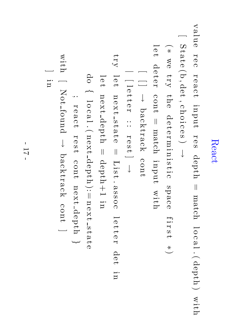#### React

value  $\mathbf \Xi$  $\mathcal{\mathcal{D}}$ c  $\blacktriangleright$  $\mathbf \sigma$  $\mathbf \varphi$ c  $\rightarrow$ input  $\blacktriangleright$  $\mathcal{\Phi}$ مح depth  $\overline{\phantom{a}}$  ${\rm mod}$  $\overline{\phantom{0}}$ o c  $\boldsymbol{\omega}$  $\overline{\phantom{0}}$  $\dot{\frown}$ depth  $\smile$ with  $\overline{\phantom{0}}$ Stat  $\mathcal{\mathcal{D}}$  $\widehat{G}$  $\overline{\phantom{a}}$ de<br>U , c  $\overline{\bm{\Gamma}}$ o i c  $\mathcal{\Phi}$ مح  $\smile$  $\downarrow$  $\overbrace{\phantom{1}}$ ∗  $\mathop{\otimes}\limits^{\mathop{\mathsf{d}}\limits}$  $\Lambda$ 11 e<br>D  $\simeq$  $\mathbf \sigma$  $\overline{\phantom{0}}$  $\mathcal{\mathcal{D}}$  $\blacktriangleright$  $\rm \Xi$ i  $\rm \Xi$ isti<br>ist c space  $\mapsto$ i  $\blacktriangleright$ مح  $\overline{\phantom{0}}$ ∗  $\smile$  $\overline{\phantom{0}}$  $\mathbf \sigma$  $\rightarrow$ a<br>D  $\rightarrow$  $\mathbf \sigma$  $\mathbf \Xi$ cont  $\overline{\phantom{a}}$  ${\rm and}$ input with  $\overline{\phantom{0}}$  $\overline{\phantom{0}}$ ]  $\downarrow$ backtrack cont |  $\overline{\phantom{0}}$ l  $\mathbf \sigma$  $\begin{matrix} 1 \ 1 \end{matrix}$  $\mathcal{\mathcal{D}}$  $\blacktriangleright$ : :  $\mathord{\text{I}}$  $\mathcal{\mathcal{D}}$  $\frac{1}{\tau}$ ]  $\downarrow$ try  $\overline{\phantom{0}}$  $\mathbb O$  $\rightarrow$  $\rm \Xi$  $\mathbb O$  $\bm{\times}$  $\rightarrow$  $\frac{1}{\omega}$  $\mathbf \varphi$  $\rightarrow$  $\mathbb O$  $\overline{\phantom{a}}$ List .  $\mathbf \varphi$ တ<br>တ o  $\mathbf \Omega$  $\overline{\phantom{0}}$  $\mathbb O$  $\begin{matrix} 1 \ 1 \end{matrix}$  $\mathbb O$  $\mathbf \Xi$ det<br>U i<br>D  $\overline{\phantom{0}}$  $\mathbb O$  $\rightarrow$ next depth  $\overline{\phantom{a}}$  $\rm depth+1$ i<br>D do  $\overline{\phantom{a}}$  $\overline{\phantom{0}}$ o c  $\boldsymbol{\mathsf{\Omega}}$  $\overline{\phantom{0}}$  $\dot{\frown}$ next depth  $\frac{1}{\cdot}$  $\rm \Xi$  $\mathbf \sigma$  $\bm{\times}$  $\rightarrow$  $\frac{1}{\omega}$  $\mathbf \varphi$  $\rightarrow$  $\mathbf \sigma$ 

 $\ddotsc$ 

with

 $\overline{\phantom{0}}$ 

]

in

Not

found

 $\downarrow$ 

backtrack

cont

]

 $\mathord{\text{I}}$  $\mathbb O$  $\boldsymbol{\mathsf{\Omega}}$ c  $\rightarrow$ 

 $\mathbf \Xi$  $\mathbb O$  $\frac{1}{\tau}$ 

cont

next

depth

 $\leftharpoondown$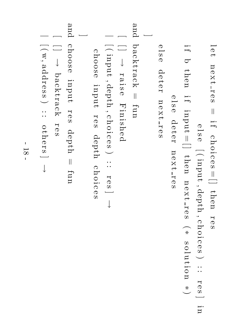$\overline{\phantom{0}}$  $\mathbb O$  $\overline{\phantom{0}}$  $\rm \Xi$  $\mathbb O$  $\bm{\times}$  $\rightarrow$  $\mathbf \Xi$  $\mathcal{\mathcal{D}}$  $\omega$  $\prod$  $\overline{\phantom{a}}$  .  $\mapsto$  $\mathbf \Omega$  $\overline{\bm{\nu}}$ o  $\overline{\phantom{a}}$  .  $\mathbf \Omega$  $\mathbb O$  $\omega$  $\equiv$  $t \ln \mathrm{e}\,\mathrm{n}$  $\mathbf \Xi$  $\mathbb O$  $\omega$  $\mathcal{O}$  $\frac{1}{\infty}$  $\mathcal{O}$  $\overline{\phantom{0}}$  $\overbrace{\phantom{1}}$ input  $\overline{\phantom{a}}$ depth  $\overline{\phantom{a}}$ c  $\overline{\bm{\mathsf{L}}}$ o i c  $\mathcal{\mathcal{D}}$  $\Omega$  $\smile$ : :  $\mathord{\text{H}}$  $\mathcal{\mathcal{D}}$ i  $\mapsto$  $\sigma$  $t \mathrm{head}$ i  $\mapsto$ input  $\frac{\parallel}{\square}$  $t \hbox{he}$  $\rm \Xi$  $\mathcal{\mathcal{D}}$  $\bm{\times}$  $\rightarrow$  $\blacktriangleright$  $\mathbf \sigma$  $\omega$  $\overbrace{\phantom{aaaaa}}$ ∗ ທ o  $\overline{\phantom{0}}$  $\mathbf{\Xi}$  $\overset{\rightharpoonup}{\phantom{a}}$ o  $\rm \Xi$ ∗  $\mathbb O$  $\Xi$  $\mathbf \sigma$ a<br>D  $\rightarrow$  $\mathbb O$  $\mathord{\text{H}}$  $\rm \Xi$  $\mathbb O$  $\bm{\times}$  $\rightarrow$  $\mathbf \Xi$  $\mathbf \sigma$  $\omega$  $\mathcal D$  $\Xi$  $\mathbb O$ a<br>D  $\rightarrow$  $\mathcal D$  $\blacktriangleright$  $\rm \Xi$  $\mathcal D$  $\bm{\times}$  $\rightarrow$  $\blacktriangleright$  $\mathcal{O}$ ໜ ] and  $b\,\mathrm{a}$ cktrack  $\overline{\phantom{a}}$ fun  $\overline{\phantom{0}}$ [ ]  $\downarrow$  $\mathbf \Xi$ a is.<br>R  $\mathbf \sigma$ Finished |  $\overline{\phantom{0}}$  $\overbrace{\phantom{1}}$ input  $\overline{\phantom{a}}$ depth  $\ddot{\phantom{0}}$ c  $\overline{\bm{\Gamma}}$ o i c  $\mathcal{\Phi}$ مح  $\smile$ : :  $\blacktriangleright$  $\mathcal D$ ທ ]  $\downarrow$ choose input  $\mathord{\text{I}}$  $\mathbf \sigma$  $\Omega$ depth c  $\overline{\bm{\Gamma}}$ o  $\overline{\phantom{a}}$  . c  $\mathcal{\mathcal{D}}$  $\omega$ ] and choose input  $\mathbf \Xi$  $\mathcal{O}$ ໜ depth  $\overline{\phantom{a}}$ fun  $\overline{\phantom{0}}$  $\overline{\phantom{0}}$ ]  $\downarrow$  $b\,a\,b\,1\,1\,a\,c\,b\,$  $\mathord{\text{H}}$  $\mathbf \sigma$  $\Omega$ |  $\overline{\phantom{0}}$  $\overbrace{\phantom{1}}$  $\mathbb{X},$ addr  $\mathbf \sigma$ တ<br>တ  $\smile$ : : o the<br>e rs<br>C ]  $\downarrow$ 

> مح ]

 $\smile$ 

in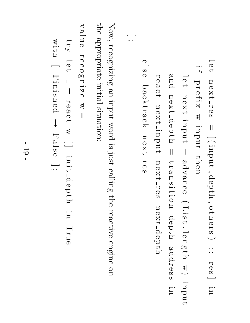```
\overline{\phantom{0}}\mathbb O\rightarrow\rm \Xi\mathbb O\bm{\times}\rightarrow\mathbf \Xi\mathbb O\Omega\overline{\phantom{a}}\suminput \ddot{\phantom{0}}depth \ddot{\phantom{0}}o the<br>e
                                                                                                   بر<br>S
                                                                                               \smile: : \mathbf \Xi\mathbb Oمح
                                                                                               ر س
                                                                                                   i<br>D
                                                                           i \mapsto\bf \rm d\mathbf \Xi\mathbf \sigma\ddot{\mathbb{I}}\bm{\times}\bm{\lessapprox}input t \hbox{head}\overline{\phantom{0}}\mathcal{O}\rightarrownext input \prodadvance \overbrace{\phantom{aaaaa}}List . \overline{\phantom{0}}eng \frac{1}{\Gamma}\widetilde{z}input
                          and next depth \prod\vec{r}\omega\rm \Xie<br>11.<br>1
                          o \rm \Xidepth addr \mathbb Oလ<br>လ
                        in
  \mathbf \Xi\mathcal{O}\omega\mathbf \Omega\rightarrownext input \rm \Xi\mathcal{O}\bm{\times}\rightarrow\mathbf \Xi\mathcal{O}\omeganext depth
```
Now, recognizing an<br>D input word  $\Xi.$ just calling the reactive engine on the appropriate initial situation:

 $\mathbb O$  $\Xi$  $\mathcal{O}$ 

]  $\ddot{\,}$ 

backtrack

 $\rm \Xi$  $\mathcal{O}$  $\bm{\times}$  $\rightarrow$ 

 $\mathbf \Xi$  $\mathbf \sigma$  $\boldsymbol{\Omega}$ 

value r  $\mathbb O$ c o œ  $\rm \Xi$ i  $\boldsymbol{\mathsf{N}}$  $\mathcal{O}$  $\mathbb{Z}$  $\overline{\phantom{a}}$  $\zeta$  $\overline{\phantom{0}}$  $\mathcal D$  $\overline{\phantom{0}}$  $\overline{\phantom{a}}$  $\mathbf \Xi$  $\mathcal D$ a  $\mathbf \Omega$  $\overline{\phantom{0}}$  $\bm{\lessapprox}$  $\overline{\phantom{0}}$ ] i  $\rm \Xi$  $\vec{=}$  $\simeq$  $\mathcal{O}$  $\bf \rm d$  $\rightarrow$ Ų, i<br>D True with  $\overline{\phantom{0}}$ Finished  $\downarrow$ Fals  $\mathbb O$ ] ;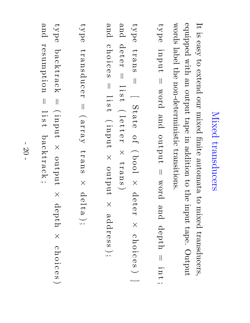## Mixed transducers

 $\mathbf{\mathcal{I}}$  $\Xi.$ easy  $\Xi$ extend our mixed finite automata  $\Xi$ mixed transducers, equipped with an<br>D output tape in addition  $\Xi$ the input tape. Output words label the non-deterministic transitions.

type input  $\overline{\phantom{a}}$ word and output  $\overline{\phantom{a}}$ word and depth  $\overline{\phantom{a}}$ i  $\rm \Xi$  $\rightarrow$ ;

type  $\vec{H}$ a<br>D<br>S  $\overline{\phantom{a}}$  $\overline{\phantom{0}}$ Stat  $\mathbf \sigma$ o  $\mapsto$  $\overbrace{\phantom{1}}$ bool  $\times$ a<br>D  $\rightarrow$  $\mathcal{\Phi}$  $\blacktriangleright$  $\times$ c  $\overline{\bm{\Gamma}}$ o i c  $\mathcal{O}$  $\Omega$  $\smile$ ] and ದಿ<br>ಅ  $\rightarrow$  $\mathbf \sigma$  $\mathord{\text{H}}$  $\overline{\phantom{a}}$  $\overline{\phantom{0}}$ i  $\omega$  $\rightarrow$  $\overbrace{\phantom{1}}$  $\overline{\phantom{0}}$  $\mathcal{\mathcal{D}}$  $\begin{matrix} 1 \ 1 \end{matrix}$  $\mathbf \sigma$  $\mathbf \Xi$  $\times$  $\mathbf{f}$ a<br>D<br>S  $\smile$ and  $\mathbf \Omega$  $\overline{\bm{\mathsf{L}}}$ o  $\overline{\phantom{a}}$  .  $\mathbf \Omega$  $\mathbb O$  $\mathsf{\Omega}$  $\overline{\phantom{a}}$  $\overline{\phantom{0}}$  $\overline{\phantom{a}}$  .  $\Omega$  $\overline{\phantom{0}}$  $\overbrace{\phantom{aaaaa}}$ input  $\times$ output  $\times$ addr  $\mathcal{O}$ လ<br>လ  $\smash{\smash{\bigcup}}\limits_{s=1}^\infty$ 

type  $\mathbf{f}$ ansduc  $\mathbf \sigma$  $\blacktriangleright$  $\overline{\phantom{a}}$  $\overbrace{\phantom{1}}$  $\chi_{\rm RJ,IR}$  $\mathbf{f}$ a<br>D<br>S  $\times$  $\square$  $\mathbf \sigma$  $\frac{1}{\lambda}$  $\boldsymbol{\omega}$  $\sum_{\bullet\bullet}$ 

type backtrack backtrack  $\overline{\phantom{a}}$  $\overbrace{\phantom{1}}$ input  $\times$ output  $\times$ depth  $\times$ c  $\overline{\bm{\mathsf{L}}}$ o  $\overline{\phantom{a}}$  . c  $\mathbb O$ ໜ  $\smile$ and resumption  $\overline{\phantom{a}}$ l i ທ  $\rightarrow$ backtrack ;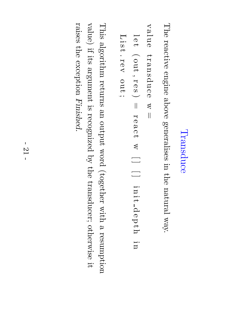#### Transduce Transduce

The reactive engine above generalises in the<br>P natural way.

```
value transduc \mathbb O\mathbb{Z}\overline{\phantom{a}}
```

```
l \mathcal{O}\rightarrow\overbrace{\phantom{1}}out , \mathbf \Xi\mathcal{O}\omega\smile\prod\mathbf \Xi\mathcal{O}\omega\mathbf \Omega\overline{\phantom{0}}\triangleleft\overline{\phantom{0}}] \overline{\phantom{0}}] \overline{\phantom{a}} .
                            \rm \Xii<br>t
                            \mathsf{p}\mathbb O\bf \rm d\rightarrow\overline{\bm{\Gamma}}i<br>D
  List . rev out \ddotsc
```
This algorithm returns an<br>D output word (together with a resumption value)  $\ddot{\Xi}$ its argument  $\Xi.$ recognized  $\mathcal{\overset{\sim}{Q}}$ the transducer; otherwise  $\Xi$ : raises the<br>P exception Finished.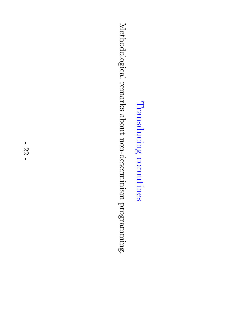Transducing coroutines Transducing coroutines

Methodological remarks about non-determinism programming.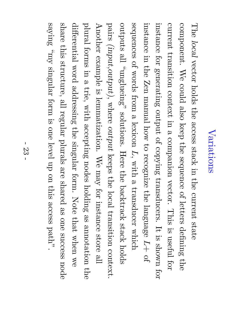#### Variations Variations

The local vector holds the access stack in the current state component. We could also keep the sequence of letters defining the current transition context in  $\boldsymbol{\omega}$ companion vector. This  $\Xi.$ useful for instance for generating output of copying transducers.  $\mathbf{\mathcal{I}}$  $\Xi.$ shown for instance in the Zen manual how  $\mathfrak{S}$ recognize the language L $+$ of sequences of words from  $\boldsymbol{\omega}$ lexicon L, with  $\boldsymbol{\omega}$ transducer which outputs  $\mathbb{E}$ "unglueing" solutions. Here the backtrack stack holds pairs (input,output) $\overline{\phantom{a}}$ where output keeps the local transition context. Another example  $\Xi.$ lemmatization.  $\mathbb{N}_\Theta$  $\Lambda$ e $\rm{u}$ for instance store  $\mathbb{E}$ plural forms in  $\boldsymbol{\omega}$ trie, with accepting nodes holding e<br>So annotation the differential word addressing the singular form. Note  $\thinspace \mathrm{that}$ when  $\mathop{\otimes}\limits^{\mathop{\mathsf{CS}}\nolimits}$ share this structure,  $\mathbb{E}$ regular plurals are<br>P shared e<br>So one success node  $\operatorname{sing}$  $\rm \hat{Aut},$ singular form  $\Xi.$ one level up on this access path".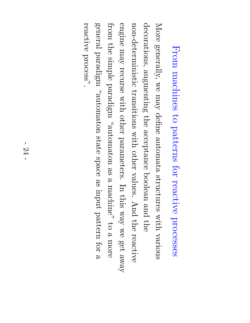## From machines  $\mathsf{S}^{\mathsf{t}}$ patterns for reactive processes

More generally,  $\mathop{\otimes}\limits^{\mathop{\mathsf{M}}\nolimits}$  $\Lambda$ e $\rm{u}$ define automata structures with various decorations, augmenting the acceptance boolean and the<br>P non-deterministic transitions with other values. And the reactive engine  $\Lambda$ e $\rm{u}$ recurse with other parameters.  $\rm \Xi$ this  $\chi_{\mathrm{EM}}$ we get  $\Lambda$ e $\Lambda$ e from the simple  $\operatorname{target}$ "automaton e<br>S  $\omega$ machine"  $\Xi$  $\omega$ more general  $\operatorname{target}$ "automaton state space e<br>S input pattern for  $\omega$ reactive  $\mathrm{proces}^{\mathcal{V}}$  .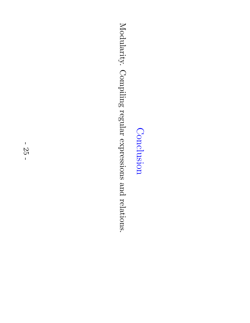#### Conclusion Conclusion

Modularity. Compiling regular expressions and relations.